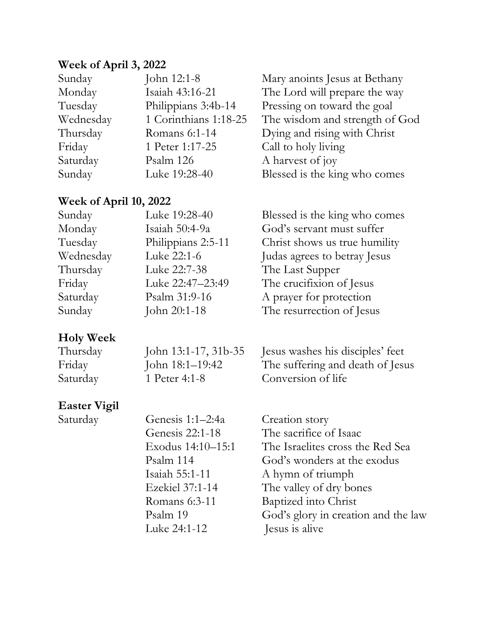## **Week of April 3, 2022**

| John 12:1-8           | Mary anoints Jesus at Bethany  |
|-----------------------|--------------------------------|
| Isaiah 43:16-21       | The Lord will prepare the way  |
| Philippians 3:4b-14   | Pressing on toward the goal    |
| 1 Corinthians 1:18-25 | The wisdom and strength of God |
| Romans 6:1-14         | Dying and rising with Christ   |
| 1 Peter 1:17-25       | Call to holy living            |
| Psalm 126             | A harvest of joy               |
| Luke 19:28-40         | Blessed is the king who comes  |
|                       |                                |

#### **Week of April 10, 2022**

| Sunday    | Luke 19:28-40      | Blessed is the king who comes |
|-----------|--------------------|-------------------------------|
| Monday    | Isaiah 50:4-9a     | God's servant must suffer     |
| Tuesday   | Philippians 2:5-11 | Christ shows us true humility |
| Wednesday | Luke 22:1-6        | Judas agrees to betray Jesus  |
| Thursday  | Luke 22:7-38       | The Last Supper               |
| Friday    | Luke 22:47-23:49   | The crucifixion of Jesus      |
| Saturday  | Psalm 31:9-16      | A prayer for protection       |
| Sunday    | John 20:1-18       | The resurrection of Jesus     |
|           |                    |                               |

### **Holy Week**

| Thursday | John 13:1-17, 31b-35 | Jesus washes his disciples' feet |
|----------|----------------------|----------------------------------|
| Friday   | John 18:1–19:42      | The suffering and death of Jesus |
| Saturday | 1 Peter 4:1-8        | Conversion of life               |

## **Easter Vigil**

Saturday

| Genesis 1:1-2:4a  | Creation story                      |
|-------------------|-------------------------------------|
| Genesis 22:1-18   | The sacrifice of Isaac              |
| Exodus 14:10-15:1 | The Israelites cross the Red Sea    |
| Psalm 114         | God's wonders at the exodus         |
| Isaiah 55:1-11    | A hymn of triumph                   |
| Ezekiel 37:1-14   | The valley of dry bones             |
| Romans 6:3-11     | Baptized into Christ                |
| Psalm 19          | God's glory in creation and the law |
| Luke 24:1-12      | Jesus is alive                      |